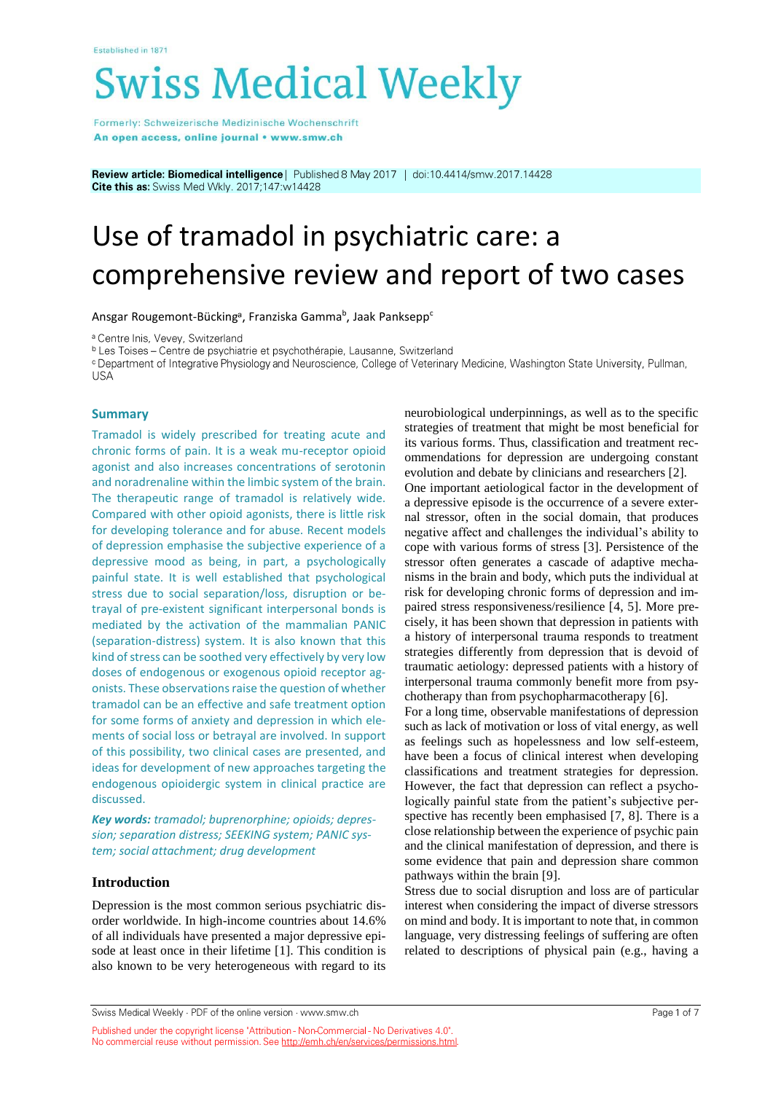# **Swiss Medical Weekly**

Formerly: Schweizerische Medizinische Wochenschrift An open access, online journal • www.smw.ch

Review article: Biomedical intelligence | Published 8 May 2017 | doi:10.4414/smw.2017.14428 Cite this as: Swiss Med Wkly. 2017;147:w14428

# Use of tramadol in psychiatric care: a comprehensive review and report of two cases

Ansgar Rougemont-Bücking<sup>a</sup>, Franziska Gamma<sup>b</sup>, Jaak Panksepp<sup>c</sup>

<sup>a</sup> Centre Inis, Vevey, Switzerland

<sup>b</sup> Les Toises – Centre de psychiatrie et psychothérapie, Lausanne, Switzerland

<sup>c</sup> Department of Integrative Physiology and Neuroscience, College of Veterinary Medicine, Washington State University, Pullman, **USA** 

#### **Summary**

Tramadol is widely prescribed for treating acute and chronic forms of pain. It is a weak mu-receptor opioid agonist and also increases concentrations of serotonin and noradrenaline within the limbic system of the brain. The therapeutic range of tramadol is relatively wide. Compared with other opioid agonists, there is little risk for developing tolerance and for abuse. Recent models of depression emphasise the subjective experience of a depressive mood as being, in part, a psychologically painful state. It is well established that psychological stress due to social separation/loss, disruption or betrayal of pre-existent significant interpersonal bonds is mediated by the activation of the mammalian PANIC (separation-distress) system. It is also known that this kind of stress can be soothed very effectively by very low doses of endogenous or exogenous opioid receptor agonists. These observations raise the question of whether tramadol can be an effective and safe treatment option for some forms of anxiety and depression in which elements of social loss or betrayal are involved. In support of this possibility, two clinical cases are presented, and ideas for development of new approaches targeting the endogenous opioidergic system in clinical practice are discussed.

*Key words: tramadol; buprenorphine; opioids; depression; separation distress; SEEKING system; PANIC system; social attachment; drug development*

### **Introduction**

Depression is the most common serious psychiatric disorder worldwide. In high-income countries about 14.6% of all individuals have presented a major depressive episode at least once in their lifetime [1]. This condition is also known to be very heterogeneous with regard to its

neurobiological underpinnings, as well as to the specific strategies of treatment that might be most beneficial for its various forms. Thus, classification and treatment recommendations for depression are undergoing constant evolution and debate by clinicians and researchers [2].

One important aetiological factor in the development of a depressive episode is the occurrence of a severe external stressor, often in the social domain, that produces negative affect and challenges the individual's ability to cope with various forms of stress [3]. Persistence of the stressor often generates a cascade of adaptive mechanisms in the brain and body, which puts the individual at risk for developing chronic forms of depression and impaired stress responsiveness/resilience [4, 5]. More precisely, it has been shown that depression in patients with a history of interpersonal trauma responds to treatment strategies differently from depression that is devoid of traumatic aetiology: depressed patients with a history of interpersonal trauma commonly benefit more from psychotherapy than from psychopharmacotherapy [6].

For a long time, observable manifestations of depression such as lack of motivation or loss of vital energy, as well as feelings such as hopelessness and low self-esteem, have been a focus of clinical interest when developing classifications and treatment strategies for depression. However, the fact that depression can reflect a psychologically painful state from the patient's subjective perspective has recently been emphasised [7, 8]. There is a close relationship between the experience of psychic pain and the clinical manifestation of depression, and there is some evidence that pain and depression share common pathways within the brain [9].

Stress due to social disruption and loss are of particular interest when considering the impact of diverse stressors on mind and body. It is important to note that, in common language, very distressing feelings of suffering are often related to descriptions of physical pain (e.g., having a

Swiss Medical Weekly · PDF of the online version · www.smw.ch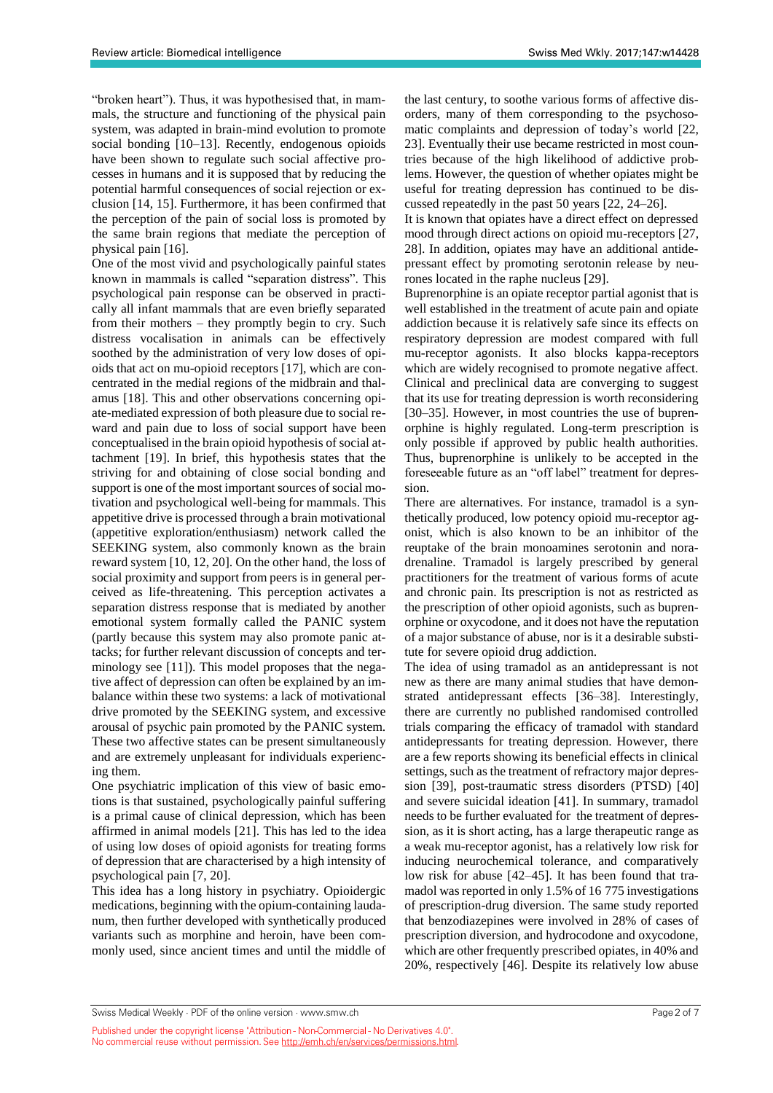"broken heart"). Thus, it was hypothesised that, in mammals, the structure and functioning of the physical pain system, was adapted in brain-mind evolution to promote social bonding [10–13]. Recently, endogenous opioids have been shown to regulate such social affective processes in humans and it is supposed that by reducing the potential harmful consequences of social rejection or exclusion [14, 15]. Furthermore, it has been confirmed that the perception of the pain of social loss is promoted by the same brain regions that mediate the perception of physical pain [16].

One of the most vivid and psychologically painful states known in mammals is called "separation distress". This psychological pain response can be observed in practically all infant mammals that are even briefly separated from their mothers – they promptly begin to cry. Such distress vocalisation in animals can be effectively soothed by the administration of very low doses of opioids that act on mu-opioid receptors [17], which are concentrated in the medial regions of the midbrain and thalamus [18]. This and other observations concerning opiate-mediated expression of both pleasure due to social reward and pain due to loss of social support have been conceptualised in the brain opioid hypothesis of social attachment [19]. In brief, this hypothesis states that the striving for and obtaining of close social bonding and support is one of the most important sources of social motivation and psychological well-being for mammals. This appetitive drive is processed through a brain motivational (appetitive exploration/enthusiasm) network called the SEEKING system, also commonly known as the brain reward system [10, 12, 20]. On the other hand, the loss of social proximity and support from peers is in general perceived as life-threatening. This perception activates a separation distress response that is mediated by another emotional system formally called the PANIC system (partly because this system may also promote panic attacks; for further relevant discussion of concepts and terminology see [11]). This model proposes that the negative affect of depression can often be explained by an imbalance within these two systems: a lack of motivational drive promoted by the SEEKING system, and excessive arousal of psychic pain promoted by the PANIC system. These two affective states can be present simultaneously and are extremely unpleasant for individuals experiencing them.

One psychiatric implication of this view of basic emotions is that sustained, psychologically painful suffering is a primal cause of clinical depression, which has been affirmed in animal models [21]. This has led to the idea of using low doses of opioid agonists for treating forms of depression that are characterised by a high intensity of psychological pain [7, 20].

This idea has a long history in psychiatry. Opioidergic medications, beginning with the opium-containing laudanum, then further developed with synthetically produced variants such as morphine and heroin, have been commonly used, since ancient times and until the middle of the last century, to soothe various forms of affective disorders, many of them corresponding to the psychosomatic complaints and depression of today's world [22, 23]. Eventually their use became restricted in most countries because of the high likelihood of addictive problems. However, the question of whether opiates might be useful for treating depression has continued to be discussed repeatedly in the past 50 years [22, 24–26].

It is known that opiates have a direct effect on depressed mood through direct actions on opioid mu-receptors [27, 28]. In addition, opiates may have an additional antidepressant effect by promoting serotonin release by neurones located in the raphe nucleus [29].

Buprenorphine is an opiate receptor partial agonist that is well established in the treatment of acute pain and opiate addiction because it is relatively safe since its effects on respiratory depression are modest compared with full mu-receptor agonists. It also blocks kappa-receptors which are widely recognised to promote negative affect. Clinical and preclinical data are converging to suggest that its use for treating depression is worth reconsidering [30–35]. However, in most countries the use of buprenorphine is highly regulated. Long-term prescription is only possible if approved by public health authorities. Thus, buprenorphine is unlikely to be accepted in the foreseeable future as an "off label" treatment for depression.

There are alternatives. For instance, tramadol is a synthetically produced, low potency opioid mu-receptor agonist, which is also known to be an inhibitor of the reuptake of the brain monoamines serotonin and noradrenaline. Tramadol is largely prescribed by general practitioners for the treatment of various forms of acute and chronic pain. Its prescription is not as restricted as the prescription of other opioid agonists, such as buprenorphine or oxycodone, and it does not have the reputation of a major substance of abuse, nor is it a desirable substitute for severe opioid drug addiction.

The idea of using tramadol as an antidepressant is not new as there are many animal studies that have demonstrated antidepressant effects [36–38]. Interestingly, there are currently no published randomised controlled trials comparing the efficacy of tramadol with standard antidepressants for treating depression. However, there are a few reports showing its beneficial effects in clinical settings, such as the treatment of refractory major depression [39], post-traumatic stress disorders (PTSD) [40] and severe suicidal ideation [41]. In summary, tramadol needs to be further evaluated for the treatment of depression, as it is short acting, has a large therapeutic range as a weak mu-receptor agonist, has a relatively low risk for inducing neurochemical tolerance, and comparatively low risk for abuse [42–45]. It has been found that tramadol was reported in only 1.5% of 16 775 investigations of prescription-drug diversion. The same study reported that benzodiazepines were involved in 28% of cases of prescription diversion, and hydrocodone and oxycodone, which are other frequently prescribed opiates, in 40% and 20%, respectively [46]. Despite its relatively low abuse

Swiss Medical Weekly · PDF of the online version · www.smw.ch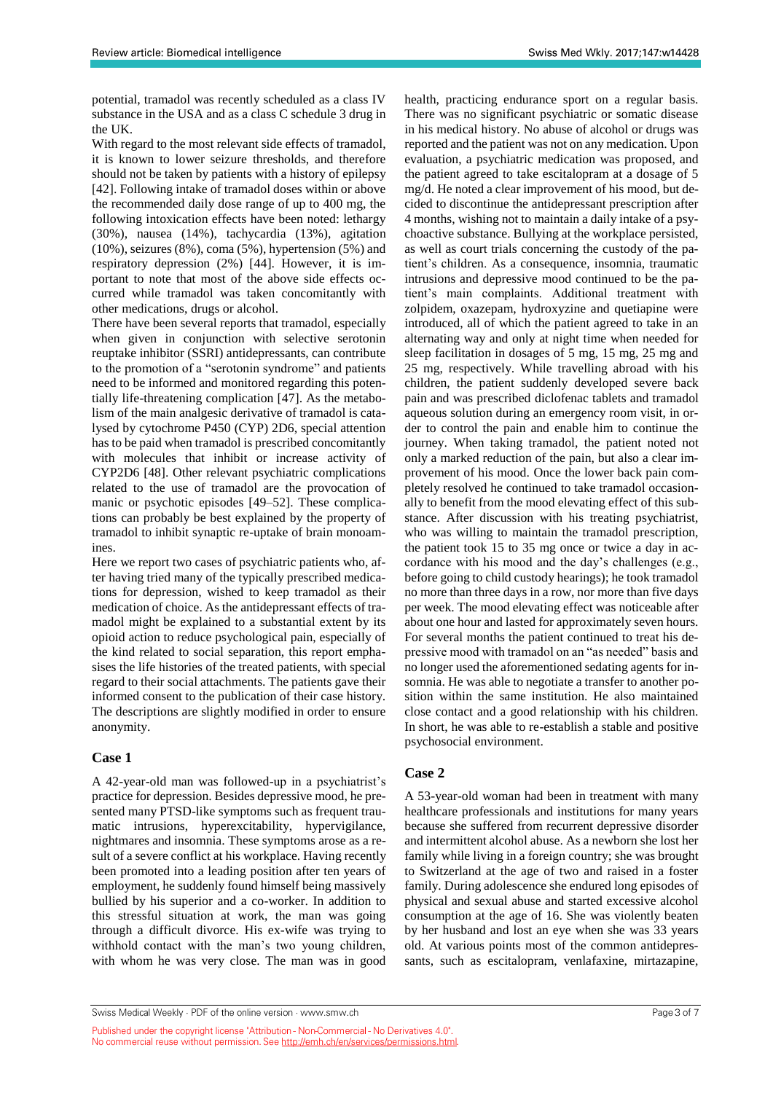potential, tramadol was recently scheduled as a class IV substance in the USA and as a class C schedule 3 drug in the UK.

With regard to the most relevant side effects of tramadol, it is known to lower seizure thresholds, and therefore should not be taken by patients with a history of epilepsy [42]. Following intake of tramadol doses within or above the recommended daily dose range of up to 400 mg, the following intoxication effects have been noted: lethargy (30%), nausea (14%), tachycardia (13%), agitation (10%), seizures (8%), coma (5%), hypertension (5%) and respiratory depression (2%) [44]. However, it is important to note that most of the above side effects occurred while tramadol was taken concomitantly with other medications, drugs or alcohol.

There have been several reports that tramadol, especially when given in conjunction with selective serotonin reuptake inhibitor (SSRI) antidepressants, can contribute to the promotion of a "serotonin syndrome" and patients need to be informed and monitored regarding this potentially life-threatening complication [47]. As the metabolism of the main analgesic derivative of tramadol is catalysed by cytochrome P450 (CYP) 2D6, special attention has to be paid when tramadol is prescribed concomitantly with molecules that inhibit or increase activity of CYP2D6 [48]. Other relevant psychiatric complications related to the use of tramadol are the provocation of manic or psychotic episodes [49–52]. These complications can probably be best explained by the property of tramadol to inhibit synaptic re-uptake of brain monoamines.

Here we report two cases of psychiatric patients who, after having tried many of the typically prescribed medications for depression, wished to keep tramadol as their medication of choice. As the antidepressant effects of tramadol might be explained to a substantial extent by its opioid action to reduce psychological pain, especially of the kind related to social separation, this report emphasises the life histories of the treated patients, with special regard to their social attachments. The patients gave their informed consent to the publication of their case history. The descriptions are slightly modified in order to ensure anonymity.

## **Case 1**

A 42-year-old man was followed-up in a psychiatrist's practice for depression. Besides depressive mood, he presented many PTSD-like symptoms such as frequent traumatic intrusions, hyperexcitability, hypervigilance, nightmares and insomnia. These symptoms arose as a result of a severe conflict at his workplace. Having recently been promoted into a leading position after ten years of employment, he suddenly found himself being massively bullied by his superior and a co-worker. In addition to this stressful situation at work, the man was going through a difficult divorce. His ex-wife was trying to withhold contact with the man's two young children, with whom he was very close. The man was in good

health, practicing endurance sport on a regular basis. There was no significant psychiatric or somatic disease in his medical history. No abuse of alcohol or drugs was reported and the patient was not on any medication. Upon evaluation, a psychiatric medication was proposed, and the patient agreed to take escitalopram at a dosage of 5 mg/d. He noted a clear improvement of his mood, but decided to discontinue the antidepressant prescription after 4 months, wishing not to maintain a daily intake of a psychoactive substance. Bullying at the workplace persisted, as well as court trials concerning the custody of the patient's children. As a consequence, insomnia, traumatic intrusions and depressive mood continued to be the patient's main complaints. Additional treatment with zolpidem, oxazepam, hydroxyzine and quetiapine were introduced, all of which the patient agreed to take in an alternating way and only at night time when needed for sleep facilitation in dosages of 5 mg, 15 mg, 25 mg and 25 mg, respectively. While travelling abroad with his children, the patient suddenly developed severe back pain and was prescribed diclofenac tablets and tramadol aqueous solution during an emergency room visit, in order to control the pain and enable him to continue the journey. When taking tramadol, the patient noted not only a marked reduction of the pain, but also a clear improvement of his mood. Once the lower back pain completely resolved he continued to take tramadol occasionally to benefit from the mood elevating effect of this substance. After discussion with his treating psychiatrist, who was willing to maintain the tramadol prescription, the patient took 15 to 35 mg once or twice a day in accordance with his mood and the day's challenges (e.g., before going to child custody hearings); he took tramadol no more than three days in a row, nor more than five days per week. The mood elevating effect was noticeable after about one hour and lasted for approximately seven hours. For several months the patient continued to treat his depressive mood with tramadol on an "as needed" basis and no longer used the aforementioned sedating agents for insomnia. He was able to negotiate a transfer to another position within the same institution. He also maintained close contact and a good relationship with his children. In short, he was able to re-establish a stable and positive psychosocial environment.

# **Case 2**

A 53-year-old woman had been in treatment with many healthcare professionals and institutions for many years because she suffered from recurrent depressive disorder and intermittent alcohol abuse. As a newborn she lost her family while living in a foreign country; she was brought to Switzerland at the age of two and raised in a foster family. During adolescence she endured long episodes of physical and sexual abuse and started excessive alcohol consumption at the age of 16. She was violently beaten by her husband and lost an eye when she was 33 years old. At various points most of the common antidepressants, such as escitalopram, venlafaxine, mirtazapine,

Swiss Medical Weekly · PDF of the online version · www.smw.ch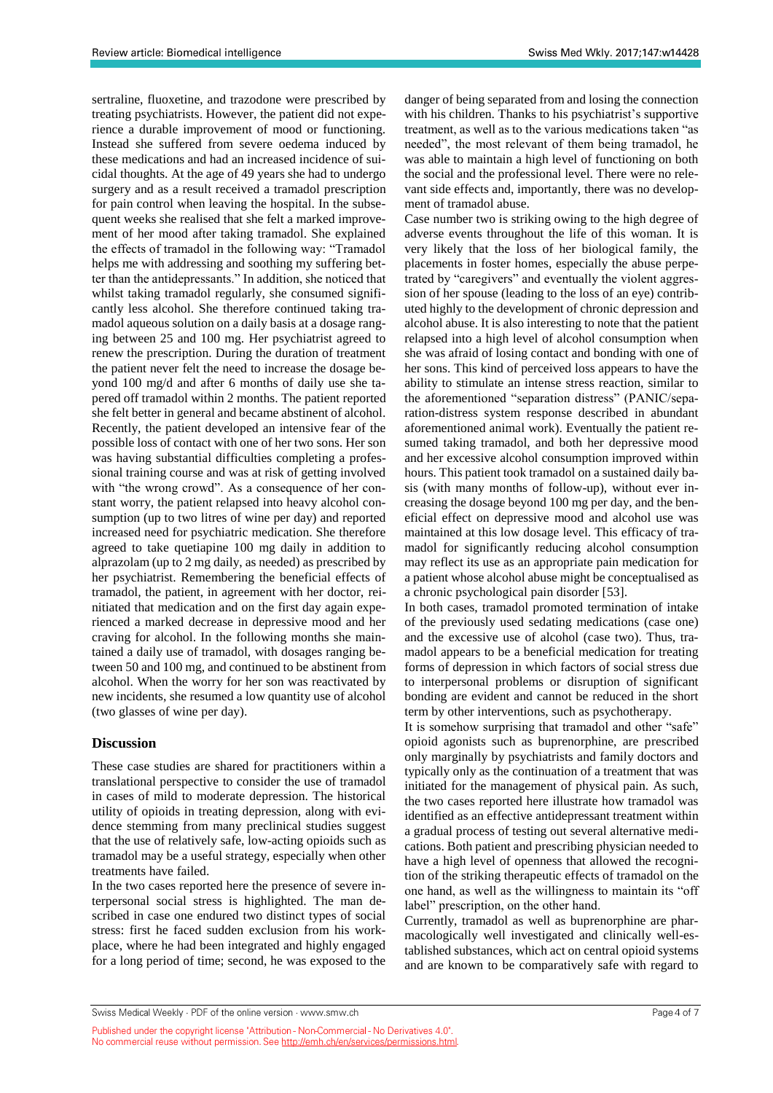sertraline, fluoxetine, and trazodone were prescribed by treating psychiatrists. However, the patient did not experience a durable improvement of mood or functioning. Instead she suffered from severe oedema induced by these medications and had an increased incidence of suicidal thoughts. At the age of 49 years she had to undergo surgery and as a result received a tramadol prescription for pain control when leaving the hospital. In the subsequent weeks she realised that she felt a marked improvement of her mood after taking tramadol. She explained the effects of tramadol in the following way: "Tramadol helps me with addressing and soothing my suffering better than the antidepressants." In addition, she noticed that whilst taking tramadol regularly, she consumed significantly less alcohol. She therefore continued taking tramadol aqueous solution on a daily basis at a dosage ranging between 25 and 100 mg. Her psychiatrist agreed to renew the prescription. During the duration of treatment the patient never felt the need to increase the dosage beyond 100 mg/d and after 6 months of daily use she tapered off tramadol within 2 months. The patient reported she felt better in general and became abstinent of alcohol. Recently, the patient developed an intensive fear of the possible loss of contact with one of her two sons. Her son was having substantial difficulties completing a professional training course and was at risk of getting involved with "the wrong crowd". As a consequence of her constant worry, the patient relapsed into heavy alcohol consumption (up to two litres of wine per day) and reported increased need for psychiatric medication. She therefore agreed to take quetiapine 100 mg daily in addition to alprazolam (up to 2 mg daily, as needed) as prescribed by her psychiatrist. Remembering the beneficial effects of tramadol, the patient, in agreement with her doctor, reinitiated that medication and on the first day again experienced a marked decrease in depressive mood and her craving for alcohol. In the following months she maintained a daily use of tramadol, with dosages ranging between 50 and 100 mg, and continued to be abstinent from alcohol. When the worry for her son was reactivated by new incidents, she resumed a low quantity use of alcohol (two glasses of wine per day).

#### **Discussion**

These case studies are shared for practitioners within a translational perspective to consider the use of tramadol in cases of mild to moderate depression. The historical utility of opioids in treating depression, along with evidence stemming from many preclinical studies suggest that the use of relatively safe, low-acting opioids such as tramadol may be a useful strategy, especially when other treatments have failed.

In the two cases reported here the presence of severe interpersonal social stress is highlighted. The man described in case one endured two distinct types of social stress: first he faced sudden exclusion from his workplace, where he had been integrated and highly engaged for a long period of time; second, he was exposed to the

danger of being separated from and losing the connection with his children. Thanks to his psychiatrist's supportive treatment, as well as to the various medications taken "as needed", the most relevant of them being tramadol, he was able to maintain a high level of functioning on both the social and the professional level. There were no relevant side effects and, importantly, there was no development of tramadol abuse.

Case number two is striking owing to the high degree of adverse events throughout the life of this woman. It is very likely that the loss of her biological family, the placements in foster homes, especially the abuse perpetrated by "caregivers" and eventually the violent aggression of her spouse (leading to the loss of an eye) contributed highly to the development of chronic depression and alcohol abuse. It is also interesting to note that the patient relapsed into a high level of alcohol consumption when she was afraid of losing contact and bonding with one of her sons. This kind of perceived loss appears to have the ability to stimulate an intense stress reaction, similar to the aforementioned "separation distress" (PANIC/separation-distress system response described in abundant aforementioned animal work). Eventually the patient resumed taking tramadol, and both her depressive mood and her excessive alcohol consumption improved within hours. This patient took tramadol on a sustained daily basis (with many months of follow-up), without ever increasing the dosage beyond 100 mg per day, and the beneficial effect on depressive mood and alcohol use was maintained at this low dosage level. This efficacy of tramadol for significantly reducing alcohol consumption may reflect its use as an appropriate pain medication for a patient whose alcohol abuse might be conceptualised as a chronic psychological pain disorder [53].

In both cases, tramadol promoted termination of intake of the previously used sedating medications (case one) and the excessive use of alcohol (case two). Thus, tramadol appears to be a beneficial medication for treating forms of depression in which factors of social stress due to interpersonal problems or disruption of significant bonding are evident and cannot be reduced in the short term by other interventions, such as psychotherapy.

It is somehow surprising that tramadol and other "safe" opioid agonists such as buprenorphine, are prescribed only marginally by psychiatrists and family doctors and typically only as the continuation of a treatment that was initiated for the management of physical pain. As such, the two cases reported here illustrate how tramadol was identified as an effective antidepressant treatment within a gradual process of testing out several alternative medications. Both patient and prescribing physician needed to have a high level of openness that allowed the recognition of the striking therapeutic effects of tramadol on the one hand, as well as the willingness to maintain its "off label" prescription, on the other hand.

Currently, tramadol as well as buprenorphine are pharmacologically well investigated and clinically well-established substances, which act on central opioid systems and are known to be comparatively safe with regard to

Swiss Medical Weekly · PDF of the online version · www.smw.ch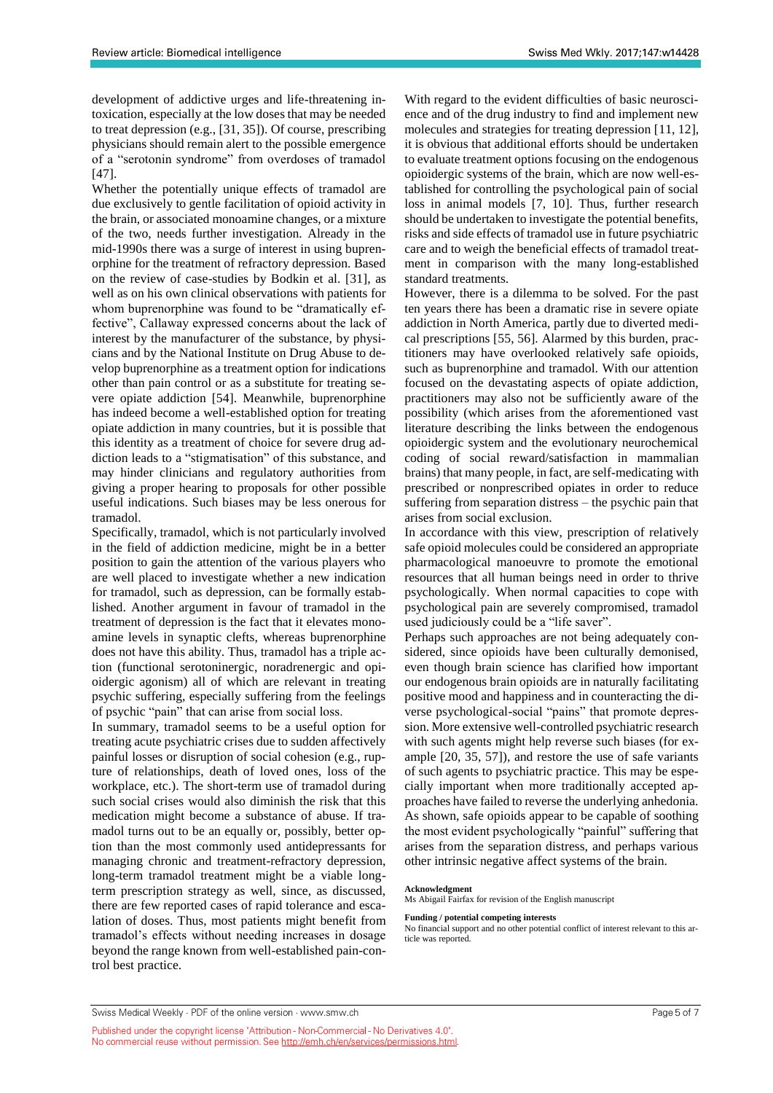development of addictive urges and life-threatening intoxication, especially at the low doses that may be needed to treat depression (e.g., [31, 35]). Of course, prescribing physicians should remain alert to the possible emergence of a "serotonin syndrome" from overdoses of tramadol [47].

Whether the potentially unique effects of tramadol are due exclusively to gentle facilitation of opioid activity in the brain, or associated monoamine changes, or a mixture of the two, needs further investigation. Already in the mid-1990s there was a surge of interest in using buprenorphine for the treatment of refractory depression. Based on the review of case-studies by Bodkin et al. [31], as well as on his own clinical observations with patients for whom buprenorphine was found to be "dramatically effective", Callaway expressed concerns about the lack of interest by the manufacturer of the substance, by physicians and by the National Institute on Drug Abuse to develop buprenorphine as a treatment option for indications other than pain control or as a substitute for treating severe opiate addiction [54]. Meanwhile, buprenorphine has indeed become a well-established option for treating opiate addiction in many countries, but it is possible that this identity as a treatment of choice for severe drug addiction leads to a "stigmatisation" of this substance, and may hinder clinicians and regulatory authorities from giving a proper hearing to proposals for other possible useful indications. Such biases may be less onerous for tramadol.

Specifically, tramadol, which is not particularly involved in the field of addiction medicine, might be in a better position to gain the attention of the various players who are well placed to investigate whether a new indication for tramadol, such as depression, can be formally established. Another argument in favour of tramadol in the treatment of depression is the fact that it elevates monoamine levels in synaptic clefts, whereas buprenorphine does not have this ability. Thus, tramadol has a triple action (functional serotoninergic, noradrenergic and opioidergic agonism) all of which are relevant in treating psychic suffering, especially suffering from the feelings of psychic "pain" that can arise from social loss.

In summary, tramadol seems to be a useful option for treating acute psychiatric crises due to sudden affectively painful losses or disruption of social cohesion (e.g., rupture of relationships, death of loved ones, loss of the workplace, etc.). The short-term use of tramadol during such social crises would also diminish the risk that this medication might become a substance of abuse. If tramadol turns out to be an equally or, possibly, better option than the most commonly used antidepressants for managing chronic and treatment-refractory depression, long-term tramadol treatment might be a viable longterm prescription strategy as well, since, as discussed, there are few reported cases of rapid tolerance and escalation of doses. Thus, most patients might benefit from tramadol's effects without needing increases in dosage beyond the range known from well-established pain-control best practice.

With regard to the evident difficulties of basic neuroscience and of the drug industry to find and implement new molecules and strategies for treating depression [11, 12], it is obvious that additional efforts should be undertaken to evaluate treatment options focusing on the endogenous opioidergic systems of the brain, which are now well-established for controlling the psychological pain of social loss in animal models [7, 10]. Thus, further research should be undertaken to investigate the potential benefits, risks and side effects of tramadol use in future psychiatric care and to weigh the beneficial effects of tramadol treatment in comparison with the many long-established standard treatments.

However, there is a dilemma to be solved. For the past ten years there has been a dramatic rise in severe opiate addiction in North America, partly due to diverted medical prescriptions [55, 56]. Alarmed by this burden, practitioners may have overlooked relatively safe opioids, such as buprenorphine and tramadol. With our attention focused on the devastating aspects of opiate addiction, practitioners may also not be sufficiently aware of the possibility (which arises from the aforementioned vast literature describing the links between the endogenous opioidergic system and the evolutionary neurochemical coding of social reward/satisfaction in mammalian brains) that many people, in fact, are self-medicating with prescribed or nonprescribed opiates in order to reduce suffering from separation distress – the psychic pain that arises from social exclusion.

In accordance with this view, prescription of relatively safe opioid molecules could be considered an appropriate pharmacological manoeuvre to promote the emotional resources that all human beings need in order to thrive psychologically. When normal capacities to cope with psychological pain are severely compromised, tramadol used judiciously could be a "life saver".

Perhaps such approaches are not being adequately considered, since opioids have been culturally demonised, even though brain science has clarified how important our endogenous brain opioids are in naturally facilitating positive mood and happiness and in counteracting the diverse psychological-social "pains" that promote depression. More extensive well-controlled psychiatric research with such agents might help reverse such biases (for example [20, 35, 57]), and restore the use of safe variants of such agents to psychiatric practice. This may be especially important when more traditionally accepted approaches have failed to reverse the underlying anhedonia. As shown, safe opioids appear to be capable of soothing the most evident psychologically "painful" suffering that arises from the separation distress, and perhaps various other intrinsic negative affect systems of the brain.

### **Acknowledgment**

Ms Abigail Fairfax for revision of the English manuscript

#### **Funding / potential competing interests**

No financial support and no other potential conflict of interest relevant to this article was reported.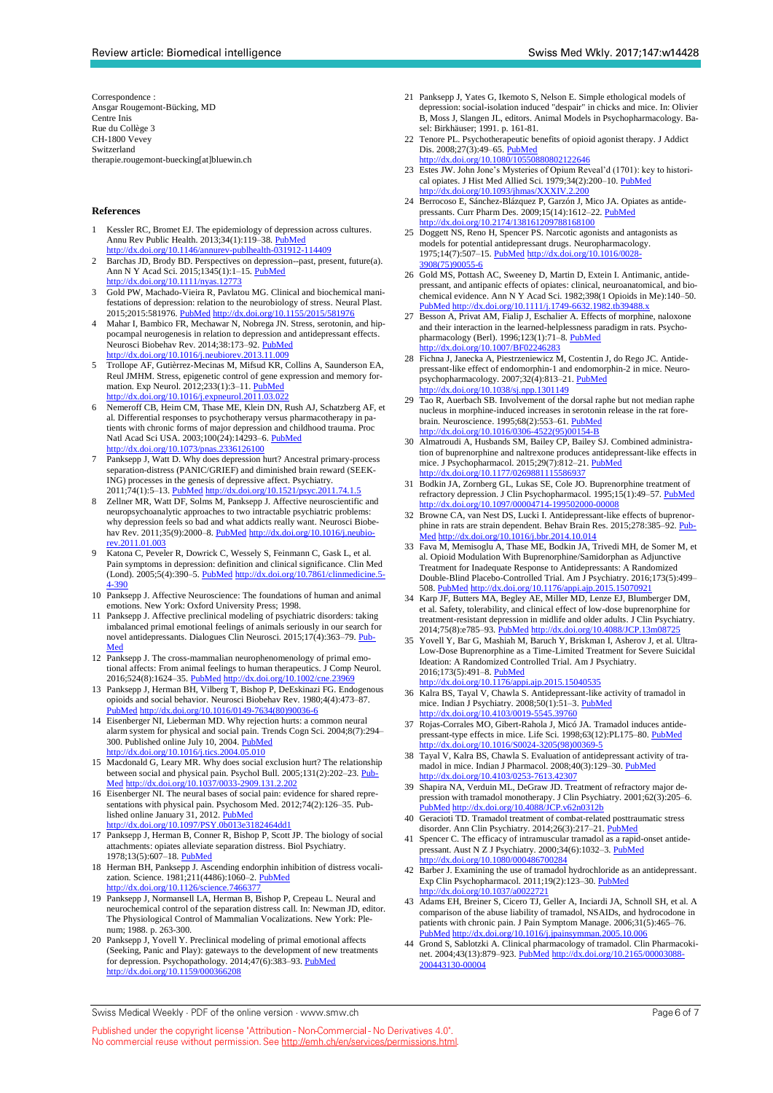Correspondence : Ansgar Rougemont-Bücking, MD Centre Inis Rue du Collège 3 CH-1800 Vevey Switzerland therapie.rougemont-buecking[at]bluewin.ch

#### **References**

- Kessler RC, Bromet EJ. The epidemiology of depression across cultures. Annu Rev Public Health. 2013;34(1):119-38. [PubMed](http://www.ncbi.nlm.nih.gov/entrez/query.fcgi?cmd=Retrieve&db=PubMed&list_uids=23514317&dopt=Abstract) <http://dx.doi.org/10.1146/annurev-publhealth-031912-114409>
- 2 Barchas JD, Brody BD. Perspectives on depression--past, present, future(a). Ann N Y Acad Sci. 2015;1345(1):1–15. [PubMed](http://www.ncbi.nlm.nih.gov/entrez/query.fcgi?cmd=Retrieve&db=PubMed&list_uids=26014447&dopt=Abstract)  $\frac{dx}{du}$  doi.org/10.1111/nyas.1277
- 3 Gold PW, Machado-Vieira R, Pavlatou MG. Clinical and biochemical manifestations of depression: relation to the neurobiology of stress. Neural Plast. 2015;2015:581976. [PubMed](http://www.ncbi.nlm.nih.gov/entrez/query.fcgi?cmd=Retrieve&db=PubMed&list_uids=25878903&dopt=Abstract) <http://dx.doi.org/10.1155/2015/581976>
- 4 Mahar I, Bambico FR, Mechawar N, Nobrega JN. Stress, serotonin, and hippocampal neurogenesis in relation to depression and antidepressant effects. Neurosci Biobehav Rev. 2014;38:173–92. [PubMed](http://www.ncbi.nlm.nih.gov/entrez/query.fcgi?cmd=Retrieve&db=PubMed&list_uids=24300695&dopt=Abstract) <http://dx.doi.org/10.1016/j.neubiorev.2013.11.009>
- 5 Trollope AF, Gutièrrez-Mecinas M, Mifsud KR, Collins A, Saunderson EA, Reul JMHM. Stress, epigenetic control of gene expression and memory formation. Exp Neurol. 2012;233(1):3–11. [PubMed](http://www.ncbi.nlm.nih.gov/entrez/query.fcgi?cmd=Retrieve&db=PubMed&list_uids=21466804&dopt=Abstract) http://dx.doi.org/10.1016/j.expneurol.2011.03.02
- 6 Nemeroff CB, Heim CM, Thase ME, Klein DN, Rush AJ, Schatzberg AF, et al. Differential responses to psychotherapy versus pharmacotherapy in patients with chronic forms of major depression and childhood trauma. Proc Natl Acad Sci USA. 2003;100(24):14293–6. [PubMed](http://www.ncbi.nlm.nih.gov/entrez/query.fcgi?cmd=Retrieve&db=PubMed&list_uids=14615578&dopt=Abstract)  $\frac{h}{d}$  //dx.doi.org/10.1073/pnas.2336126100
- Panksepp J, Watt D. Why does depression hurt? Ancestral primary-process separation-distress (PANIC/GRIEF) and diminished brain reward (SEEK-ING) processes in the genesis of depressive affect. Psychiatry. 2011;74(1):5–13. [PubMed](http://www.ncbi.nlm.nih.gov/entrez/query.fcgi?cmd=Retrieve&db=PubMed&list_uids=21463165&dopt=Abstract) <http://dx.doi.org/10.1521/psyc.2011.74.1.5>
- Zellner MR, Watt DF, Solms M, Panksepp J. Affective neuroscientific and neuropsychoanalytic approaches to two intractable psychiatric problems: why depression feels so bad and what addicts really want. Neurosci Biobe-hav Rev. 2011;35(9):2000–8. [PubMed](http://www.ncbi.nlm.nih.gov/entrez/query.fcgi?cmd=Retrieve&db=PubMed&list_uids=21241736&dopt=Abstract) [http://dx.doi.org/10.1016/j.neubio](http://dx.doi.org/10.1016/j.neubiorev.2011.01.003)[rev.2011.01.003](http://dx.doi.org/10.1016/j.neubiorev.2011.01.003)
- Katona C, Peveler R, Dowrick C, Wessely S, Feinmann C, Gask L, et al. Pain symptoms in depression: definition and clinical significance. Clin Med  $(1 \text{ ord})$ , 2005:5(4):200.5, BubMed bury/(dx doi srx/10.7961/slinmediains 5. (Lond).  $2005;5(4):390-5.$  [PubMed](http://www.ncbi.nlm.nih.gov/entrez/query.fcgi?cmd=Retrieve&db=PubMed&list_uids=16138496&dopt=Abstract) http://dx.doi.org/10.  $4 - 390$
- 10 Panksepp J. Affective Neuroscience: The foundations of human and animal emotions. New York: Oxford University Press; 1998.
- 11 Panksepp J. Affective preclinical modeling of psychiatric disorders: taking imbalanced primal emotional feelings of animals seriously in our search for novel antidepressants. Dialogues Clin Neurosci. 2015;17(4):363-79. [Pub-](http://www.ncbi.nlm.nih.gov/entrez/query.fcgi?cmd=Retrieve&db=PubMed&list_uids=26869838&dopt=Abstract)[Med](http://www.ncbi.nlm.nih.gov/entrez/query.fcgi?cmd=Retrieve&db=PubMed&list_uids=26869838&dopt=Abstract)
- 12 Panksepp J. The cross-mammalian neurophenomenology of primal emotional affects: From animal feelings to human therapeutics. J Comp Neurol.  $2016:524(8):1624-35$ . [PubMed](http://www.ncbi.nlm.nih.gov/entrez/query.fcgi?cmd=Retrieve&db=PubMed&list_uids=26876723&dopt=Abstract) http://dx.doi.org/10.1002/cn
- 13 Panksepp J, Herman BH, Vilberg T, Bishop P, DeEskinazi FG. Endogenous opioids and social behavior. Neurosci Biobehav Rev. 1980;4(4):473–8[7.](http://www.ncbi.nlm.nih.gov/entrez/query.fcgi?cmd=Retrieve&db=PubMed&list_uids=6258111&dopt=Abstract) [PubMed](http://www.ncbi.nlm.nih.gov/entrez/query.fcgi?cmd=Retrieve&db=PubMed&list_uids=6258111&dopt=Abstract) [http://dx.doi.org/10.1016/0149-7634\(80\)90036-6](http://dx.doi.org/10.1016/0149-7634(80)90036-6)
- 14 Eisenberger NI, Lieberman MD. Why rejection hurts: a common neural alarm system for physical and social pain. Trends Cogn Sci. 2004;8(7):294– 300. Published online July 10, 2004. [PubMed](http://www.ncbi.nlm.nih.gov/entrez/query.fcgi?cmd=Retrieve&db=PubMed&list_uids=15242688&dopt=Abstract) <http://dx.doi.org/10.1016/j.tics.2004.05.010>
- 15 Macdonald G, Leary MR. Why does social exclusion hurt? The relationship between social and physical pain. Psychol Bull. 2005;131(2):202–23. [Pub-](http://www.ncbi.nlm.nih.gov/entrez/query.fcgi?cmd=Retrieve&db=PubMed&list_uids=15740417&dopt=Abstract)[Med](http://www.ncbi.nlm.nih.gov/entrez/query.fcgi?cmd=Retrieve&db=PubMed&list_uids=15740417&dopt=Abstract) <http://dx.doi.org/10.1037/0033-2909.131.2.202>
- 16 Eisenberger NI. The neural bases of social pain: evidence for shared representations with physical pain. Psychosom Med. 2012;74(2):126–35. Published online January 31, 2012. [PubMed](http://www.ncbi.nlm.nih.gov/entrez/query.fcgi?cmd=Retrieve&db=PubMed&list_uids=22286852&dopt=Abstract) <http://dx.doi.org/10.1097/PSY.0b013e3182464dd1>
- 17 Panksepp J, Herman B, Conner R, Bishop P, Scott JP. The biology of social attachments: opiates alleviate separation distress. Biol Psychiatry. 1978;13(5):607–18. [PubMed](http://www.ncbi.nlm.nih.gov/entrez/query.fcgi?cmd=Retrieve&db=PubMed&list_uids=83167&dopt=Abstract)
- 18 Herman BH, Panksepp J. Ascending endorphin inhibition of distress vocalization. Science. 1981;211(4486):1060–2. [PubMed](http://www.ncbi.nlm.nih.gov/entrez/query.fcgi?cmd=Retrieve&db=PubMed&list_uids=7466377&dopt=Abstract) /dx.doi.org/10.1126/science.74663
- 19 Panksepp J, Normansell LA, Herman B, Bishop P, Crepeau L. Neural and neurochemical control of the separation distress call. In: Newman JD, editor. The Physiological Control of Mammalian Vocalizations. New York: Plenum; 1988. p. 263-300.
- 20 Panksepp J, Yovell Y. Preclinical modeling of primal emotional affects (Seeking, Panic and Play): gateways to the development of new treatments for depression. Psychopathology. 2014;47(6):383-93. [PubMed](http://www.ncbi.nlm.nih.gov/entrez/query.fcgi?cmd=Retrieve&db=PubMed&list_uids=25341411&dopt=Abstract) <http://dx.doi.org/10.1159/000366208>
- 21 Panksepp J, Yates G, Ikemoto S, Nelson E. Simple ethological models of depression: social-isolation induced "despair" in chicks and mice. In: Olivier B, Moss J, Slangen JL, editors. Animal Models in Psychopharmacology. Basel: Birkhäuser; 1991. p. 161-81.
- 22 Tenore PL. Psychotherapeutic benefits of opioid agonist therapy. J Addict Dis. 2008;27(3):49-65. [PubMed](http://www.ncbi.nlm.nih.gov/entrez/query.fcgi?cmd=Retrieve&db=PubMed&list_uids=18956529&dopt=Abstract)
- doi.org/10.1080/10550880802122646 23 Estes JW. John Jone's Mysteries of Opium Reveal'd (1701): key to historical opiates. J Hist Med Allied Sci. 1979;34(2):200-10. PubMe <http://dx.doi.org/10.1093/jhmas/XXXIV.2.200>
- 24 Berrocoso E, Sánchez-Blázquez P, Garzón J, Mico JA. Opiates as antidepressants. Curr Pharm Des. 2009;15(14):1612–22. [PubMed](http://www.ncbi.nlm.nih.gov/entrez/query.fcgi?cmd=Retrieve&db=PubMed&list_uids=19442177&dopt=Abstract) <http://dx.doi.org/10.2174/138161209788168100>
- Doggett NS, Reno H, Spencer PS. Narcotic agonists and antagonists as models for potential antidepressant drugs. Neuropharmacology. 1975;14(7):507–15. [PubMed](http://www.ncbi.nlm.nih.gov/entrez/query.fcgi?cmd=Retrieve&db=PubMed&list_uids=1153093&dopt=Abstract) [http://dx.doi.org/10.1016/0028-](http://dx.doi.org/10.1016/0028-3908(75)90055-6) [3908\(75\)90055-6](http://dx.doi.org/10.1016/0028-3908(75)90055-6)
- 26 Gold MS, Pottash AC, Sweeney D, Martin D, Extein I. Antimanic, antidepressant, and antipanic effects of opiates: clinical, neuroanatomical, and bio-chemical evidence. Ann N Y Acad Sci. 1982;398(1 Opioids in Me):140–5[0.](http://www.ncbi.nlm.nih.gov/entrez/query.fcgi?cmd=Retrieve&db=PubMed&list_uids=6961853&dopt=Abstract)<br>PubMed http://dx.doi.org/10.1111/i.1749-6632.1982.tb39488.x [PubMed](http://www.ncbi.nlm.nih.gov/entrez/query.fcgi?cmd=Retrieve&db=PubMed&list_uids=6961853&dopt=Abstract) http://dx.doi.org/10.1111/j.1749-6632.1982
- 27 Besson A, Privat AM, Fialip J, Eschalier A. Effects of morphine, naloxone and their interaction in the learned-helplessness paradigm in rats. Psychopharmacology (Berl). 1996;123(1):71–8. [PubMed](http://www.ncbi.nlm.nih.gov/entrez/query.fcgi?cmd=Retrieve&db=PubMed&list_uids=8741957&dopt=Abstract) tp://dx.doi.org/10.1007/BF02246283
- 28 Fichna J, Janecka A, Piestrzeniewicz M, Costentin J, do Rego JC. Antidepressant-like effect of endomorphin-1 and endomorphin-2 in mice. Neuropsychopharmacology. 2007;32(4):813–21. [PubMed](http://www.ncbi.nlm.nih.gov/entrez/query.fcgi?cmd=Retrieve&db=PubMed&list_uids=16823383&dopt=Abstract) <http://dx.doi.org/10.1038/sj.npp.1301149>
- 29 Tao R, Auerbach SB. Involvement of the dorsal raphe but not median raphe nucleus in morphine-induced increases in serotonin release in the rat forebrain. Neuroscience. 1995;68(2):553–61. [PubMed](http://www.ncbi.nlm.nih.gov/entrez/query.fcgi?cmd=Retrieve&db=PubMed&list_uids=7477965&dopt=Abstract) [http://dx.doi.org/10.1016/0306-4522\(95\)00154-B](http://dx.doi.org/10.1016/0306-4522(95)00154-B)
- 30 Almatroudi A, Husbands SM, Bailey CP, Bailey SJ. Combined administration of buprenorphine and naltrexone produces antidepressant-like effects in mice. J Psychopharmacol. 2015;29(7):812-21. [PubMed](http://www.ncbi.nlm.nih.gov/entrez/query.fcgi?cmd=Retrieve&db=PubMed&list_uids=26045511&dopt=Abstract) dx.doi.org/10.1177/026988111
- 31 Bodkin JA, Zornberg GL, Lukas SE, Cole JO. Buprenorphine treatment of refractory depression. J Clin Psychopharmacol. 1995;15(1):49-57. [PubMed](http://www.ncbi.nlm.nih.gov/entrez/query.fcgi?cmd=Retrieve&db=PubMed&list_uids=7714228&dopt=Abstract) <http://dx.doi.org/10.1097/00004714-199502000-00008>
- 32 Browne CA, van Nest DS, Lucki I. Antidepressant-like effects of buprenorphine in rats are strain dependent. Behav Brain Res. 2015;278:385–92. [Pub-](http://www.ncbi.nlm.nih.gov/entrez/query.fcgi?cmd=Retrieve&db=PubMed&list_uids=25453747&dopt=Abstract)[Med](http://www.ncbi.nlm.nih.gov/entrez/query.fcgi?cmd=Retrieve&db=PubMed&list_uids=25453747&dopt=Abstract) <http://dx.doi.org/10.1016/j.bbr.2014.10.014>
- 33 Fava M, Memisoglu A, Thase ME, Bodkin JA, Trivedi MH, de Somer M, et al. Opioid Modulation With Buprenorphine/Samidorphan as Adjunctive Treatment for Inadequate Response to Antidepressants: A Randomized Double-Blind Placebo-Controlled Trial. Am J Psychiatry. 2016;173(5):499– 508. [PubMed](http://www.ncbi.nlm.nih.gov/entrez/query.fcgi?cmd=Retrieve&db=PubMed&list_uids=26869247&dopt=Abstract) <http://dx.doi.org/10.1176/appi.ajp.2015.15070921>
- 34 Karp JF, Butters MA, Begley AE, Miller MD, Lenze EJ, Blumberger DM, et al. Safety, tolerability, and clinical effect of low-dose buprenorphine for treatment-resistant depression in midlife and older adults. J Clin Psychiatry. 2014;75(8):e785-93. [PubMed](http://www.ncbi.nlm.nih.gov/entrez/query.fcgi?cmd=Retrieve&db=PubMed&list_uids=25191915&dopt=Abstract) http://dx.doi.org/10.4088/JCP.13m0872
- 35 Yovell Y, Bar G, Mashiah M, Baruch Y, Briskman I, Asherov J, et al. Ultra-Low-Dose Buprenorphine as a Time-Limited Treatment for Severe Suicidal Ideation: A Randomized Controlled Trial. Am J Psychiatry. 2016;173(5):491–8. [PubMed](http://www.ncbi.nlm.nih.gov/entrez/query.fcgi?cmd=Retrieve&db=PubMed&list_uids=26684923&dopt=Abstract)

<http://dx.doi.org/10.1176/appi.ajp.2015.15040535>

- 36 Kalra BS, Tayal V, Chawla S. Antidepressant-like activity of tramadol in mice. Indian J Psychiatry. 2008;50(1):51–3. [PubMed](http://www.ncbi.nlm.nih.gov/entrez/query.fcgi?cmd=Retrieve&db=PubMed&list_uids=19771308&dopt=Abstract) 10.4103/0019-554
- 37 Rojas-Corrales MO, Gibert-Rahola J, Micó JA. Tramadol induces antidepressant-type effects in mice. Life Sci. 1998;63(12):PL175–80. [PubMed](http://www.ncbi.nlm.nih.gov/entrez/query.fcgi?cmd=Retrieve&db=PubMed&list_uids=9749830&dopt=Abstract) [http://dx.doi.org/10.1016/S0024-3205\(98\)00369-5](http://dx.doi.org/10.1016/S0024-3205(98)00369-5)
- 38 Tayal V, Kalra BS, Chawla S. Evaluation of antidepressant activity of tramadol in mice. Indian J Pharmacol. 2008;40(3):129–30. [PubMed](http://www.ncbi.nlm.nih.gov/entrez/query.fcgi?cmd=Retrieve&db=PubMed&list_uids=20040941&dopt=Abstract) <http://dx.doi.org/10.4103/0253-7613.42307>
- 39 Shapira NA, Verduin ML, DeGraw JD. Treatment of refractory major depression with tramadol monotherapy. J Clin Psychiatry. 2001;62(3):205–[6.](http://www.ncbi.nlm.nih.gov/entrez/query.fcgi?cmd=Retrieve&db=PubMed&list_uids=11305709&dopt=Abstract) [PubMed](http://www.ncbi.nlm.nih.gov/entrez/query.fcgi?cmd=Retrieve&db=PubMed&list_uids=11305709&dopt=Abstract) <http://dx.doi.org/10.4088/JCP.v62n0312b>
- 40 Geracioti TD. Tramadol treatment of combat-related posttraumatic stress disorder. Ann Clin Psychiatry. 2014;26(3):217–21. [PubMed](http://www.ncbi.nlm.nih.gov/entrez/query.fcgi?cmd=Retrieve&db=PubMed&list_uids=25166484&dopt=Abstract)
- 41 Spencer C. The efficacy of intramuscular tramadol as a rapid-onset antidepressant. Aust N Z J Psychiatry. 2000;34(6):1032–3. [PubMed](http://www.ncbi.nlm.nih.gov/entrez/query.fcgi?cmd=Retrieve&db=PubMed&list_uids=11127616&dopt=Abstract) <http://dx.doi.org/10.1080/000486700284>
- Barber J. Examining the use of tramadol hydrochloride as an antidepressant. Exp Clin Psychopharmacol. 2011;19(2):123-30. [PubMed](http://www.ncbi.nlm.nih.gov/entrez/query.fcgi?cmd=Retrieve&db=PubMed&list_uids=21463069&dopt=Abstract) //dx.doi.org/10.1037/a002272
- 43 Adams EH, Breiner S, Cicero TJ, Geller A, Inciardi JA, Schnoll SH, et al. A comparison of the abuse liability of tramadol, NSAIDs, and hydrocodone in patients with chronic pain. J Pain Symptom Manage. 2006;31(5):465–7[6.](http://www.ncbi.nlm.nih.gov/entrez/query.fcgi?cmd=Retrieve&db=PubMed&list_uids=16716877&dopt=Abstract) [PubMed](http://www.ncbi.nlm.nih.gov/entrez/query.fcgi?cmd=Retrieve&db=PubMed&list_uids=16716877&dopt=Abstract) <http://dx.doi.org/10.1016/j.jpainsymman.2005.10.006>
- Grond S, Sablotzki A. Clinical pharmacology of tramadol. Clin Pharmacoki-net. 2004;43(13):879-923. [PubMed](http://www.ncbi.nlm.nih.gov/entrez/query.fcgi?cmd=Retrieve&db=PubMed&list_uids=15509185&dopt=Abstract) http://dx.doi.org/10.2165/00003088 [200443130-00004](http://dx.doi.org/10.2165/00003088-200443130-00004)

Swiss Medical Weekly · PDF of the online version · www.smw.ch